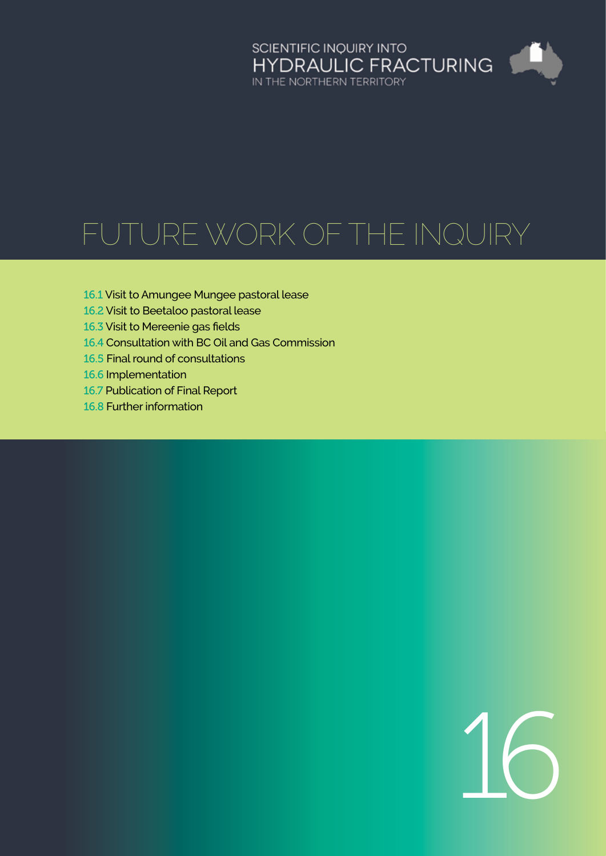# SCIENTIFIC INQUIRY INTO<br>HYDRAULIC FRACTURING<br>IN THE NORTHERN TERRITORY

# Future work of the Inquiry

- 16.1 [Visit to Amungee Mungee pastoral lease](#page-1-0)
- 16.2 [Visit to Beetaloo pastoral lease](#page-1-0)
- 16.3 [Visit to Mereenie gas fields](#page-1-0)
- 16.4 [Consultation with BC Oil and Gas Commission](#page-1-0)
- 16.5 [Final round of consultations](#page-1-0)
- 16.6 [Implementation](#page-1-0)
- 16.7 [Publication of Final Report](#page-1-0)
- 16.8 [Further information](#page-1-0)